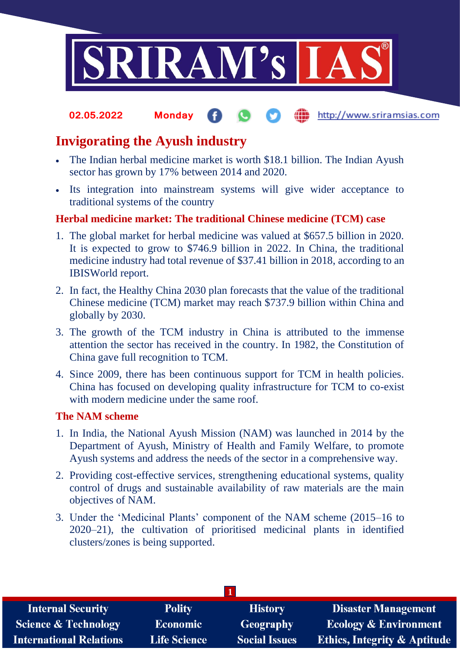

### the http://www.sriramsias.com **02.05.2022 Monday**

# **Invigorating the Ayush industry**

- The Indian herbal medicine market is worth \$18.1 billion. The Indian Ayush sector has grown by 17% between 2014 and 2020.
- Its integration into mainstream systems will give wider acceptance to traditional systems of the country

## **Herbal medicine market: The traditional Chinese medicine (TCM) case**

- 1. The global market for herbal medicine was valued at \$657.5 billion in 2020. It is expected to grow to \$746.9 billion in 2022. In China, the traditional medicine industry had total revenue of \$37.41 billion in 2018, according to an IBISWorld report.
- 2. In fact, the Healthy China 2030 plan forecasts that the value of the traditional Chinese medicine (TCM) market may reach \$737.9 billion within China and globally by 2030.
- 3. The growth of the TCM industry in China is attributed to the immense attention the sector has received in the country. In 1982, the Constitution of China gave full recognition to TCM.
- 4. Since 2009, there has been continuous support for TCM in health policies. China has focused on developing quality infrastructure for TCM to co-exist with modern medicine under the same roof.

## **The NAM scheme**

- 1. In India, the National Ayush Mission (NAM) was launched in 2014 by the Department of Ayush, Ministry of Health and Family Welfare, to promote Ayush systems and address the needs of the sector in a comprehensive way.
- 2. Providing cost-effective services, strengthening educational systems, quality control of drugs and sustainable availability of raw materials are the main objectives of NAM.
- 3. Under the 'Medicinal Plants' component of the NAM scheme (2015–16 to 2020–21), the cultivation of prioritised medicinal plants in identified clusters/zones is being supported.

| <b>Internal Security</b>        | <b>Polity</b>       | <b>History</b>       | <b>Disaster Management</b>              |
|---------------------------------|---------------------|----------------------|-----------------------------------------|
| <b>Science &amp; Technology</b> | <b>Economic</b>     | <b>Geography</b>     | <b>Ecology &amp; Environment</b>        |
| <b>International Relations</b>  | <b>Life Science</b> | <b>Social Issues</b> | <b>Ethics, Integrity &amp; Aptitude</b> |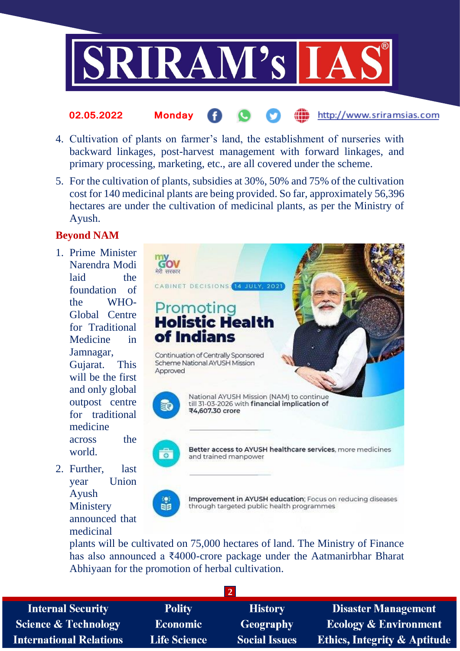

### http://www.sriramsias.com **02.05.2022 Monday**

- 4. Cultivation of plants on farmer's land, the establishment of nurseries with backward linkages, post-harvest management with forward linkages, and primary processing, marketing, etc., are all covered under the scheme.
- 5. For the cultivation of plants, subsidies at 30%, 50% and 75% of the cultivation cost for 140 medicinal plants are being provided. So far, approximately 56,396 hectares are under the cultivation of medicinal plants, as per the Ministry of Ayush.

## **Beyond NAM**

- 1. Prime Minister Narendra Modi laid the foundation of the WHO-Global Centre for Traditional Medicine in Jamnagar, Gujarat. This will be the first and only global outpost centre for traditional medicine across the world.
- 2. Further, last year Union Ayush **Ministery** announced that medicinal



plants will be cultivated on 75,000 hectares of land. The Ministry of Finance has also announced a ₹4000-crore package under the Aatmanirbhar Bharat Abhiyaan for the promotion of herbal cultivation.

| <b>Internal Security</b>       | <b>Polity</b>       | <b>History</b>       | <b>Disaster Management</b>              |
|--------------------------------|---------------------|----------------------|-----------------------------------------|
| Science & Technology           | <b>Economic</b>     | Geography            | <b>Ecology &amp; Environment</b>        |
| <b>International Relations</b> | <b>Life Science</b> | <b>Social Issues</b> | <b>Ethics, Integrity &amp; Aptitude</b> |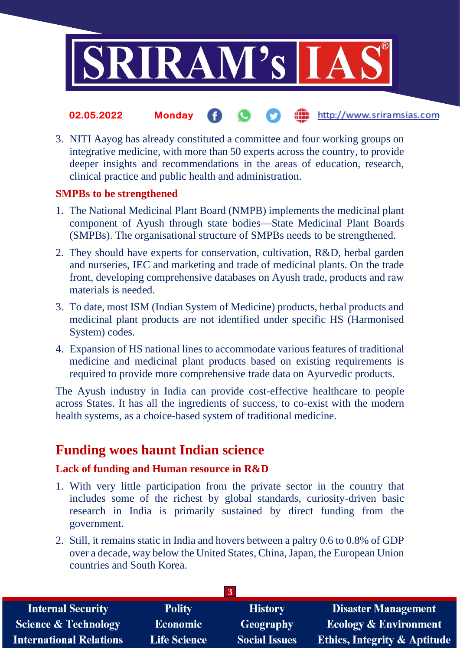

### the http://www.sriramsias.com **02.05.2022 Monday**

3. NITI Aayog has already constituted a committee and four working groups on integrative medicine, with more than 50 experts across the country, to provide deeper insights and recommendations in the areas of education, research, clinical practice and public health and administration.

## **SMPBs to be strengthened**

- 1. The National Medicinal Plant Board (NMPB) implements the medicinal plant component of Ayush through state bodies—State Medicinal Plant Boards (SMPBs). The organisational structure of SMPBs needs to be strengthened.
- 2. They should have experts for conservation, cultivation, R&D, herbal garden and nurseries, IEC and marketing and trade of medicinal plants. On the trade front, developing comprehensive databases on Ayush trade, products and raw materials is needed.
- 3. To date, most ISM (Indian System of Medicine) products, herbal products and medicinal plant products are not identified under specific HS (Harmonised System) codes.
- 4. Expansion of HS national lines to accommodate various features of traditional medicine and medicinal plant products based on existing requirements is required to provide more comprehensive trade data on Ayurvedic products.

The Ayush industry in India can provide cost-effective healthcare to people across States. It has all the ingredients of success, to co-exist with the modern health systems, as a choice-based system of traditional medicine.

## **Funding woes haunt Indian science**

## **Lack of funding and Human resource in R&D**

- 1. With very little participation from the private sector in the country that includes some of the richest by global standards, curiosity-driven basic research in India is primarily sustained by direct funding from the government.
- 2. Still, it remains static in India and hovers between a paltry 0.6 to 0.8% of GDP over a decade, way below the United States, China, Japan, the European Union countries and South Korea.

| <b>Internal Security</b>        | <b>Polity</b>       | <b>History</b>       | <b>Disaster Management</b>              |
|---------------------------------|---------------------|----------------------|-----------------------------------------|
| <b>Science &amp; Technology</b> | <b>Economic</b>     | Geography            | <b>Ecology &amp; Environment</b>        |
| <b>International Relations</b>  | <b>Life Science</b> | <b>Social Issues</b> | <b>Ethics, Integrity &amp; Aptitude</b> |
|                                 |                     |                      |                                         |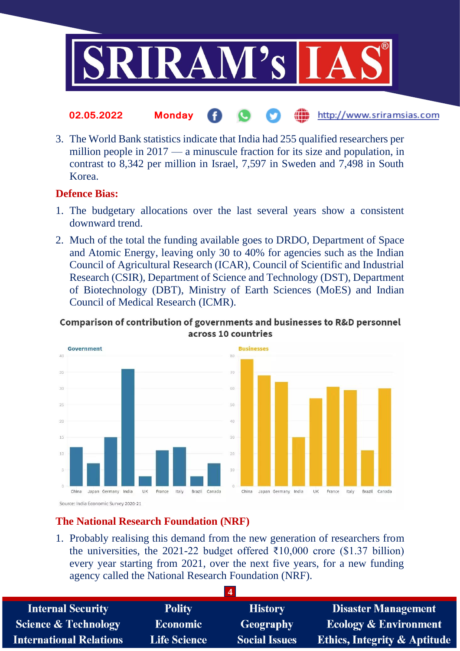

#### http://www.sriramsias.com **02.05.2022 Monday**

3. The World Bank statistics indicate that India had 255 qualified researchers per million people in 2017 — a minuscule fraction for its size and population, in contrast to 8,342 per million in Israel, 7,597 in Sweden and 7,498 in South Korea.

## **Defence Bias:**

- 1. The budgetary allocations over the last several years show a consistent downward trend.
- 2. Much of the total the funding available goes to DRDO, Department of Space and Atomic Energy, leaving only 30 to 40% for agencies such as the Indian Council of Agricultural Research (ICAR), Council of Scientific and Industrial Research (CSIR), Department of Science and Technology (DST), Department of Biotechnology (DBT), Ministry of Earth Sciences (MoES) and Indian Council of Medical Research (ICMR).

## Comparison of contribution of governments and businesses to R&D personnel across 10 countries



## **The National Research Foundation (NRF)**

1. Probably realising this demand from the new generation of researchers from the universities, the 2021-22 budget offered  $\overline{\xi}10,000$  crore (\$1.37 billion) every year starting from 2021, over the next five years, for a new funding agency called the National Research Foundation (NRF).

| <b>Internal Security</b>        | <b>Polity</b>       | <b>History</b>       | <b>Disaster Management</b>              |
|---------------------------------|---------------------|----------------------|-----------------------------------------|
| <b>Science &amp; Technology</b> | <b>Economic</b>     | Geography            | <b>Ecology &amp; Environment</b>        |
| <b>International Relations</b>  | <b>Life Science</b> | <b>Social Issues</b> | <b>Ethics, Integrity &amp; Aptitude</b> |